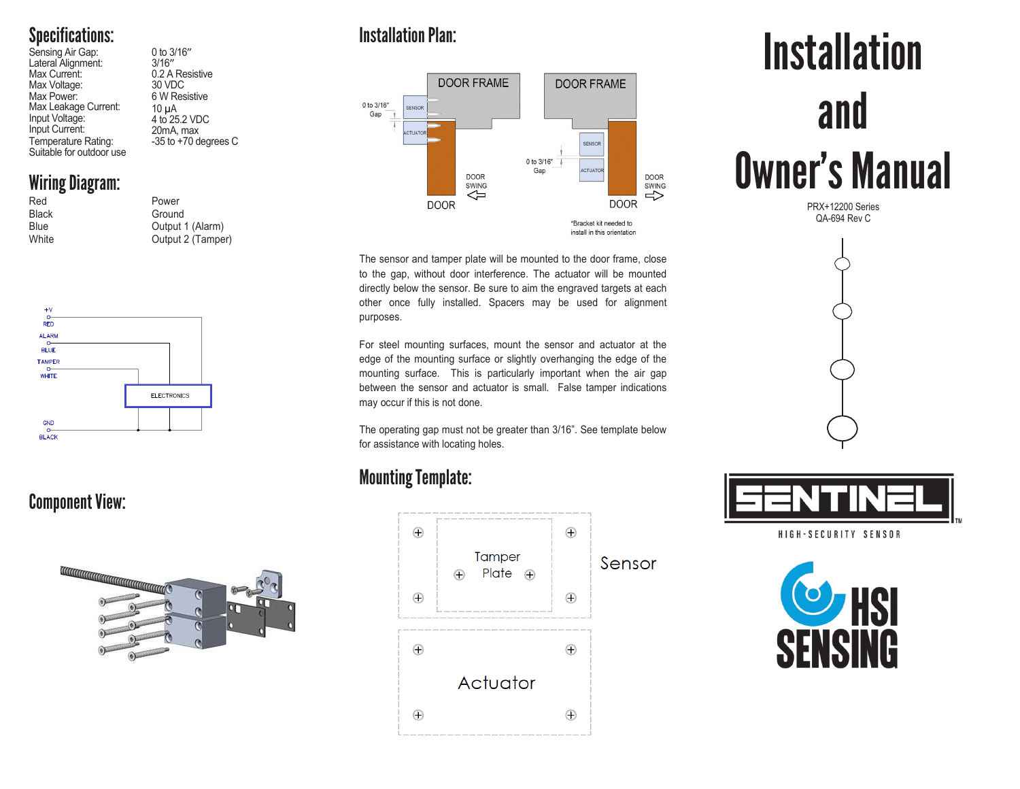# Specifications:

Sensing Air Gap: 0 to 3/16"<br>
Lateral Alignment: 3/16"<br>
Max Current: 0.2 A Res Max Voltage:<br>Max Power: Max Leakage Current: Input Voltage: Input Current:<br>Temperature Rating: Suitable for outdoor use

## Wiring Diagram:

| Red          |  | Power             |
|--------------|--|-------------------|
| <b>Black</b> |  | Ground            |
| Blue         |  | Output 1 (Alarm)  |
| White        |  | Output 2 (Tamper) |
|              |  |                   |

0.2 A Resistive<br>30 VDC

6 W Resistive

10 µA 4 to 25.2 VDC 20mA, max  $-35$  to  $+70$  degrees C



## Component View:



## Installation Plan:



The sensor and tamper plate will be mounted to the door frame, close to the gap, without door interference. The actuator will be mounted directly below the sensor. Be sure to aim the engraved targets at each other once fully installed. Spacers may be used for alignment purposes.

For steel mounting surfaces, mount the sensor and actuator at the edge of the mounting surface or slightly overhanging the edge of the mounting surface. This is particularly important when the air gap between the sensor and actuator is small. False tamper indications may occur if this is not done.

The operating gap must not be greater than 3/16". See template below for assistance with locating holes.

## Mounting Template:



# **Installation** and Owner's Manual

PRX+12200 Series QA-694 Rev C